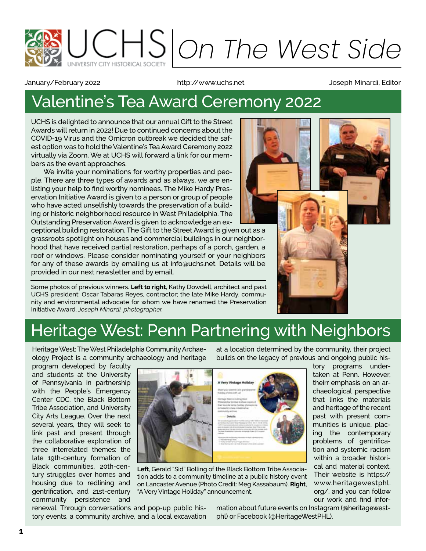

January/February 2022 http://www.uchs.net Joseph Minardi, Editor

# Valentine's Tea Award Ceremony 2022

UCHS is delighted to announce that our annual Gift to the Street Awards will return in 2022! Due to continued concerns about the COVID-19 Virus and the Omicron outbreak we decided the safest option was to hold the Valentine's Tea Award Ceremony 2022 virtually via Zoom. We at UCHS will forward a link for our members as the event approaches.

We invite your nominations for worthy properties and people. There are three types of awards and as always, we are enlisting your help to find worthy nominees. The Mike Hardy Preservation Initiative Award is given to a person or group of people who have acted unselfishly towards the preservation of a building or historic neighborhood resource in West Philadelphia. The Outstanding Preservation Award is given to acknowledge an ex-

ceptional building restoration. The Gift to the Street Award is given out as a grassroots spotlight on houses and commercial buildings in our neighborhood that have received partial restoration, perhaps of a porch, garden, a roof or windows. Please consider nominating yourself or your neighbors for any of these awards by emailing us at info@uchs.net. Details will be provided in our next newsletter and by email.

Some photos of previous winners. **Left to right**, Kathy Dowdell, architect and past UCHS president; Oscar Tabaras Reyes, contractor; the late Mike Hardy, community and environmental advocate for whom we have renamed the Preservation Initiative Award. *Joseph Minardi, photographer.*



# Heritage West: Penn Partnering with Neighbors

Heritage West: The West Philadelphia Community Archaeology Project is a community archaeology and heritage

program developed by faculty and students at the University of Pennsylvania in partnership with the People's Emergency Center CDC, the Black Bottom Tribe Association, and University City Arts League. Over the next several years, they will seek to link past and present through the collaborative exploration of three interrelated themes: the late 19th-century formation of Black communities, 20th-century struggles over homes and housing due to redlining and gentrification, and 21st-century community persistence and



**Left**, Gerald "Sid" Bolling of the Black Bottom Tribe Association adds to a community timeline at a public history event on Lancaster Avenue (Photo Credit: Meg Kassabaum). **Right**, "A Very Vintage Holiday" announcement.

renewal. Through conversations and pop-up public history events, a community archive, and a local excavation at a location determined by the community, their project builds on the legacy of previous and ongoing public his-

tory programs undertaken at Penn. However, theirr emphasis on an archaeological perspective that links the materials and heritage of the recent past with present communities is unique, placing the contemporary problems of gentrification and systemic racism within a broader historical and material context. Their website is https:// www.heritagewestphl. org/, and you can follow our work and find infor-

mation about future events on Instagram (@heritagewestphl) or Facebook (@HeritageWestPHL).

 $\overline{a}$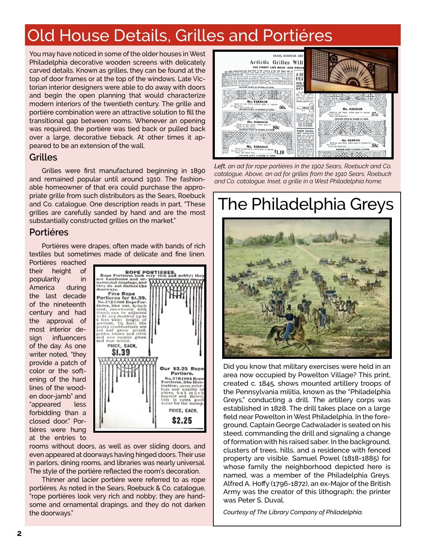# Old House Details, Grilles and Portiéres

You may have noticed in some of the older houses in West Philadelphia decorative wooden screens with delicately carved details. Known as grilles, they can be found at the top of door frames or at the top of the windows. Late Victorian interior designers were able to do away with doors and begin the open planning that would characterize modern interiors of the twentieth century. The grille and portiére combination were an attractive solution to fill the transitional gap between rooms. Whenever an opening was required, the portiére was tied back or pulled back over a large, decorative tieback. At other times it appeared to be an extension of the wall.

### **Grilles**

j

Grilles were first manufactured beginning in 1890 and remained popular until around 1910. The fashionable homeowner of that era could purchase the appropriate grille from such distributors as the Sears, Roebuck and Co. catalogue. One description reads in part, "These grilles are carefully sanded by hand and are the most substantially constructed grilles on the market."

### **Portiéres**

Portiéres were drapes, often made with bands of rich textiles but sometimes made of delicate and fine linen.

Portiéres reached their height of popularity in America during the last decade of the nineteenth century and had the approval of most interior design influencers of the day. As one writer noted, "they provide a patch of color or the softening of the hard lines of the wooden door-jamb" and "appeared less forbidding than a closed door." Portiéres were hung at the entries to



rooms without doors, as well as over sliding doors, and even appeared at doorways having hinged doors. Their use in parlors, dining rooms, and libraries was nearly universal. The style of the portiére reflected the room's decoration.

Thinner and lacier portiére were referred to as rope portiéres. As noted in the Sears, Roebuck & Co. catalogue, "rope portiéres look very rich and nobby; they are handsome and ornamental drapings, and they do not darken the doorways."



*Left, an ad for rope portiéres in the 1902 Sears, Roebuck and Co. catalogue. Above, an ad for grilles from the 1910 Sears, Roebuck and Co. catalogue. Inset, a grille in a West Philadelphia home.*

# The Philadelphia Greys



Did you know that military exercises were held in an area now occupied by Powelton Village? This print, created c. 1845, shows mounted artillery troops of the Pennsylvania militia, known as the "Philadelphia Greys," conducting a drill. The artillery corps was established in 1828. The drill takes place on a large field near Powelton in West Philadelphia. In the foreground, Captain George Cadwalader is seated on his steed, commanding the drill and signaling a change of formation with his raised saber. In the background, clusters of trees, hills, and a residence with fenced property are visible. Samuel Powel (1818-1885) for whose family the neighborhood depicted here is named, was a member of the Philadelphia Greys. Alfred A. Hoffy (1796-1872), an ex-Major of the British Army was the creator of this lithograph; the printer was Peter S. Duval.

*Courtesy of The Library Company of Philadelphia.*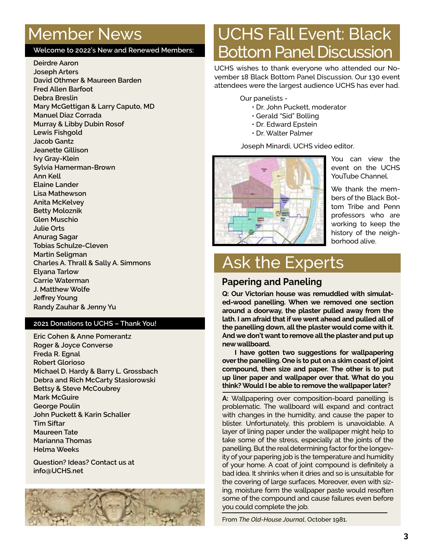# Member News

#### **Welcome to 2022's New and Renewed Members:**

**Deirdre Aaron Joseph Arters David Othmer & Maureen Barden Fred Allen Barfoot Debra Breslin Mary McGettigan & Larry Caputo, MD Manuel Diaz Corrada Murray & Libby Dubin Rosof Lewis Fishgold Jacob Gantz Jeanette Gillison Ivy Gray-Klein Sylvia Hamerman-Brown Ann Kell Elaine Lander Lisa Mathewson Anita McKelvey Betty Moloznik Glen Muschio Julie Orts Anurag Sagar Tobias Schulze-Cleven Martin Seligman Charles A. Thrall & Sally A. Simmons Elyana Tarlow Carrie Waterman J. Matthew Wolfe Jeffrey Young Randy Zauhar & Jenny Yu**

#### **2021 Donations to UCHS – Thank You!**

**Eric Cohen & Anne Pomerantz Roger & Joyce Converse Freda R. Egnal Robert Glorioso Michael D. Hardy & Barry L. Grossbach Debra and Rich McCarty Stasiorowski Bettsy & Steve McCoubrey Mark McGuire George Poulin John Puckett & Karin Schaller Tim Siftar Maureen Tate Marianna Thomas Helma Weeks**

**Question? Ideas? Contact us at info@UCHS.net**



# UCHS Fall Event: Black Bottom Panel Discussion

UCHS wishes to thank everyone who attended our November 18 Black Bottom Panel Discussion. Our 130 event attendees were the largest audience UCHS has ever had.

Our panelists -

- Dr. John Puckett, moderator
- Gerald "Sid" Bolling
- Dr. Edward Epstein
- Dr. Walter Palmer

Joseph Minardi, UCHS video editor.



You can view the event on the UCHS YouTube Channel.

We thank the members of the Black Bottom Tribe and Penn professors who are working to keep the history of the neighborhood alive.

### Ask the Experts

### **Papering and Paneling**

**Q: Our Victorian house was remuddled with simulated-wood panelling. When we removed one section around a doorway, the plaster pulled away from the lath. I am afraid that if we went ahead and pulled all of the panelling down, all the plaster would come with it. And we don't want to remove all the plaster and put up new wallboard.**

**I have gotten two suggestions for wallpapering over the panelling. One is to put on a skim coast of joint compound, then size and paper. The other is to put up liner paper and wallpaper over that. What do you think? Would I be able to remove the wallpaper later?**

**A:** Wallpapering over composition-board panelling is problematic. The wallboard will expand and contract with changes in the humidity, and cause the paper to blister. Unfortunately, this problem is unavoidable. A layer of lining paper under the wallpaper might help to take some of the stress, especially at the joints of the panelling. But the real determining factor for the longevity of your papering job is the temperature and humidity of your home. A coat of joint compound is definitely a bad idea. It shrinks when it dries and so is unsuitable for the covering of large surfaces. Moreover, even with sizing, moisture form the wallpaper paste would resoften some of the compound and cause failures even before you could complete the job.

From *The Old-House Journal*, October 1981.